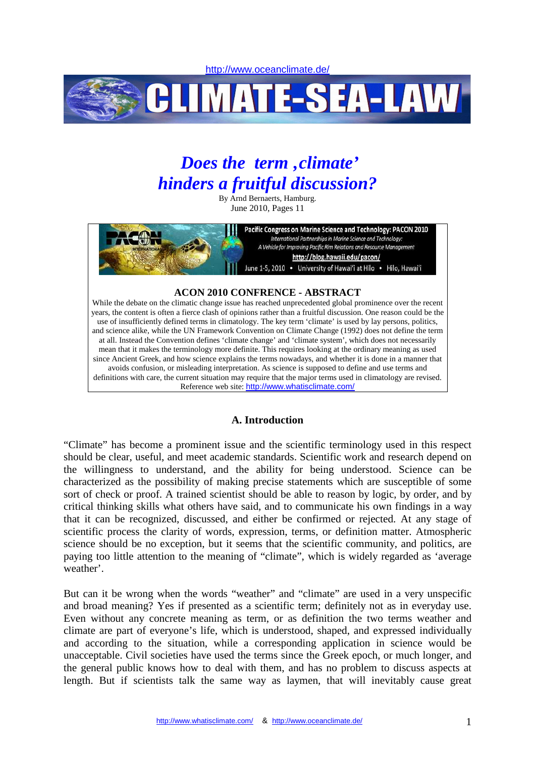http://www.oceanclimate.de/



# *Does the term 'climate' hinders a fruitful discussion?*

By Arnd Bernaerts, Hamburg. June 2010, Pages 11



While the debate on the climatic change issue has reached unprecedented global prominence over the recent years, the content is often a fierce clash of opinions rather than a fruitful discussion. One reason could be the use of insufficiently defined terms in climatology. The key term 'climate' is used by lay persons, politics, and science alike, while the UN Framework Convention on Climate Change (1992) does not define the term at all. Instead the Convention defines 'climate change' and 'climate system', which does not necessarily mean that it makes the terminology more definite. This requires looking at the ordinary meaning as used since Ancient Greek, and how science explains the terms nowadays, and whether it is done in a manner that avoids confusion, or misleading interpretation. As science is supposed to define and use terms and definitions with care, the current situation may require that the major terms used in climatology are revised. Reference web site: http://www.whatisclimate.com/

# **A. Introduction**

"Climate" has become a prominent issue and the scientific terminology used in this respect should be clear, useful, and meet academic standards. Scientific work and research depend on the willingness to understand, and the ability for being understood. Science can be characterized as the possibility of making precise statements which are susceptible of some sort of check or proof. A trained scientist should be able to reason by logic, by order, and by critical thinking skills what others have said, and to communicate his own findings in a way that it can be recognized, discussed, and either be confirmed or rejected. At any stage of scientific process the clarity of words, expression, terms, or definition matter. Atmospheric science should be no exception, but it seems that the scientific community, and politics, are paying too little attention to the meaning of "climate", which is widely regarded as 'average weather'.

But can it be wrong when the words "weather" and "climate" are used in a very unspecific and broad meaning? Yes if presented as a scientific term; definitely not as in everyday use. Even without any concrete meaning as term, or as definition the two terms weather and climate are part of everyone's life, which is understood, shaped, and expressed individually and according to the situation, while a corresponding application in science would be unacceptable. Civil societies have used the terms since the Greek epoch, or much longer, and the general public knows how to deal with them, and has no problem to discuss aspects at length. But if scientists talk the same way as laymen, that will inevitably cause great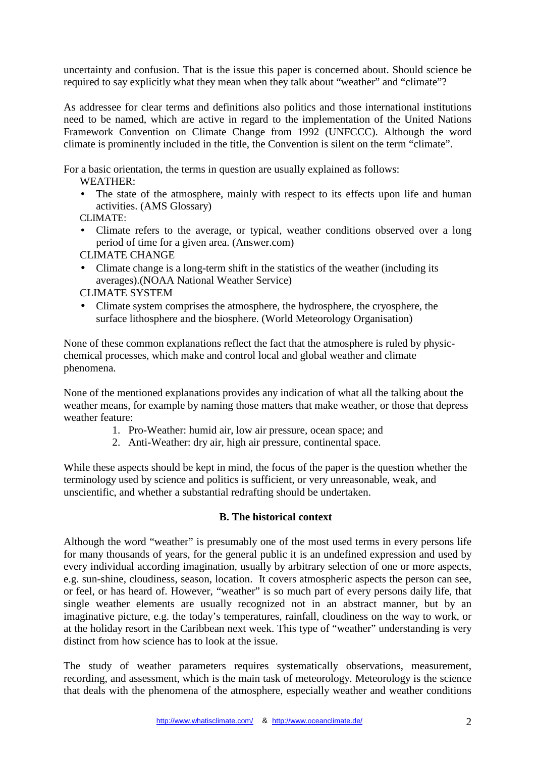uncertainty and confusion. That is the issue this paper is concerned about. Should science be required to say explicitly what they mean when they talk about "weather" and "climate"?

As addressee for clear terms and definitions also politics and those international institutions need to be named, which are active in regard to the implementation of the United Nations Framework Convention on Climate Change from 1992 (UNFCCC). Although the word climate is prominently included in the title, the Convention is silent on the term "climate".

For a basic orientation, the terms in question are usually explained as follows:

WEATHER:

• The state of the atmosphere, mainly with respect to its effects upon life and human activities. (AMS Glossary)

CLIMATE:

• Climate refers to the average, or typical, weather conditions observed over a long period of time for a given area. (Answer.com)

CLIMATE CHANGE

• Climate change is a long-term shift in the statistics of the weather (including its averages).(NOAA National Weather Service)

CLIMATE SYSTEM

• Climate system comprises the atmosphere, the hydrosphere, the cryosphere, the surface lithosphere and the biosphere. (World Meteorology Organisation)

None of these common explanations reflect the fact that the atmosphere is ruled by physicchemical processes, which make and control local and global weather and climate phenomena.

None of the mentioned explanations provides any indication of what all the talking about the weather means, for example by naming those matters that make weather, or those that depress weather feature:

- 1. Pro-Weather: humid air, low air pressure, ocean space; and
- 2. Anti-Weather: dry air, high air pressure, continental space.

While these aspects should be kept in mind, the focus of the paper is the question whether the terminology used by science and politics is sufficient, or very unreasonable, weak, and unscientific, and whether a substantial redrafting should be undertaken.

# **B. The historical context**

Although the word "weather" is presumably one of the most used terms in every persons life for many thousands of years, for the general public it is an undefined expression and used by every individual according imagination, usually by arbitrary selection of one or more aspects, e.g. sun-shine, cloudiness, season, location. It covers atmospheric aspects the person can see, or feel, or has heard of. However, "weather" is so much part of every persons daily life, that single weather elements are usually recognized not in an abstract manner, but by an imaginative picture, e.g. the today's temperatures, rainfall, cloudiness on the way to work, or at the holiday resort in the Caribbean next week. This type of "weather" understanding is very distinct from how science has to look at the issue.

The study of weather parameters requires systematically observations, measurement, recording, and assessment, which is the main task of meteorology. Meteorology is the science that deals with the phenomena of the atmosphere, especially weather and weather conditions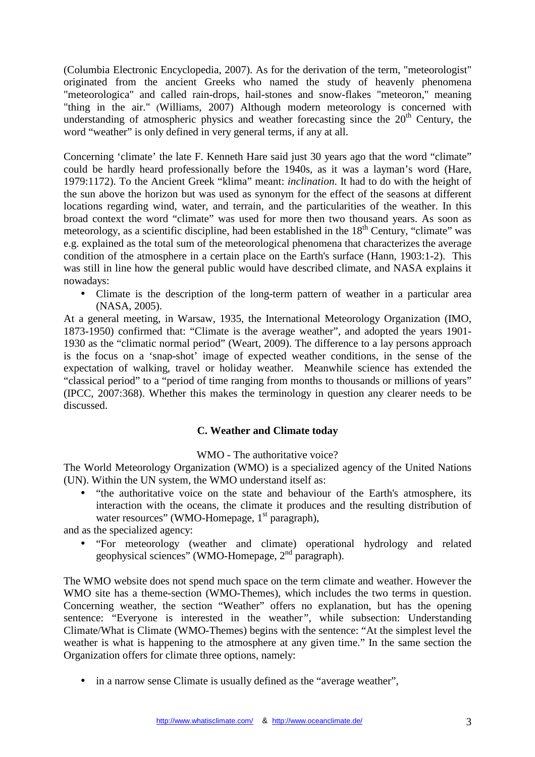(Columbia Electronic Encyclopedia, 2007). As for the derivation of the term, "meteorologist" originated from the ancient Greeks who named the study of heavenly phenomena "meteorologica" and called rain-drops, hail-stones and snow-flakes "meteoron," meaning "thing in the air." (Williams, 2007) Although modern meteorology is concerned with understanding of atmospheric physics and weather forecasting since the  $20<sup>th</sup>$  Century, the word "weather" is only defined in very general terms, if any at all.

Concerning 'climate' the late F. Kenneth Hare said just 30 years ago that the word "climate" could be hardly heard professionally before the 1940s, as it was a layman's word (Hare, 1979:1172). To the Ancient Greek "klima" meant: *inclination*. It had to do with the height of the sun above the horizon but was used as synonym for the effect of the seasons at different locations regarding wind, water, and terrain, and the particularities of the weather. In this broad context the word "climate" was used for more then two thousand years. As soon as meteorology, as a scientific discipline, had been established in the  $18<sup>th</sup>$  Century, "climate" was e.g. explained as the total sum of the meteorological phenomena that characterizes the average condition of the atmosphere in a certain place on the Earth's surface (Hann, 1903:1-2). This was still in line how the general public would have described climate, and NASA explains it nowadays:

• Climate is the description of the long-term pattern of weather in a particular area (NASA, 2005).

At a general meeting, in Warsaw, 1935, the International Meteorology Organization (IMO, 1873-1950) confirmed that: "Climate is the average weather", and adopted the years 1901- 1930 as the "climatic normal period" (Weart, 2009). The difference to a lay persons approach is the focus on a 'snap-shot' image of expected weather conditions, in the sense of the expectation of walking, travel or holiday weather. Meanwhile science has extended the "classical period" to a "period of time ranging from months to thousands or millions of years" (IPCC, 2007:368). Whether this makes the terminology in question any clearer needs to be discussed.

# **C. Weather and Climate today**

## WMO - The authoritative voice?

The World Meteorology Organization (WMO) is a specialized agency of the United Nations (UN). Within the UN system, the WMO understand itself as:

• "the authoritative voice on the state and behaviour of the Earth's atmosphere, its interaction with the oceans, the climate it produces and the resulting distribution of water resources" (WMO-Homepage,  $1<sup>st</sup>$  paragraph),

and as the specialized agency:

• "For meteorology (weather and climate) operational hydrology and related geophysical sciences" (WMO-Homepage, 2nd paragraph).

The WMO website does not spend much space on the term climate and weather. However the WMO site has a theme-section (WMO-Themes), which includes the two terms in question. Concerning weather, the section "Weather" offers no explanation, but has the opening sentence: "Everyone is interested in the weather*",* while subsection: Understanding Climate/What is Climate (WMO-Themes) begins with the sentence: "At the simplest level the weather is what is happening to the atmosphere at any given time." In the same section the Organization offers for climate three options, namely:

• in a narrow sense Climate is usually defined as the "average weather",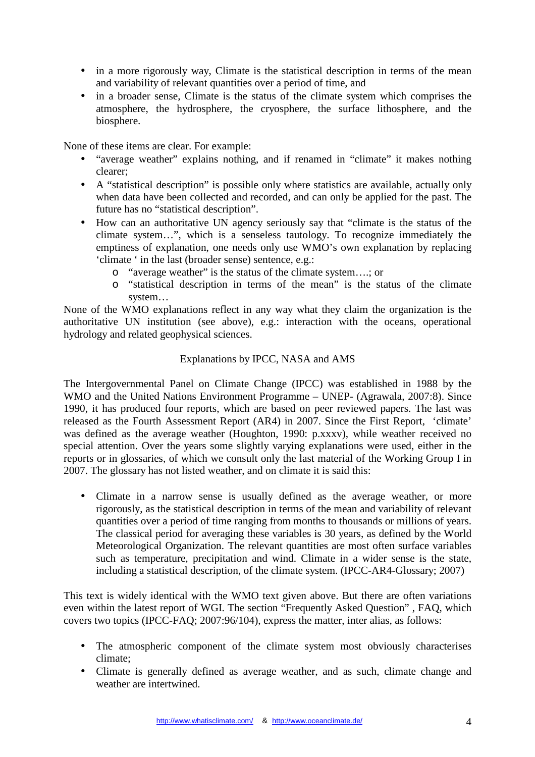- in a more rigorously way, Climate is the statistical description in terms of the mean and variability of relevant quantities over a period of time, and
- in a broader sense. Climate is the status of the climate system which comprises the atmosphere, the hydrosphere, the cryosphere, the surface lithosphere, and the biosphere.

None of these items are clear. For example:

- "average weather" explains nothing, and if renamed in "climate" it makes nothing clearer;
- A "statistical description" is possible only where statistics are available, actually only when data have been collected and recorded, and can only be applied for the past. The future has no "statistical description".
- How can an authoritative UN agency seriously say that "climate is the status of the climate system…", which is a senseless tautology. To recognize immediately the emptiness of explanation, one needs only use WMO's own explanation by replacing 'climate ' in the last (broader sense) sentence, e.g.:
	- o "average weather" is the status of the climate system….; or
	- o "statistical description in terms of the mean" is the status of the climate system…

None of the WMO explanations reflect in any way what they claim the organization is the authoritative UN institution (see above), e.g.: interaction with the oceans, operational hydrology and related geophysical sciences.

## Explanations by IPCC, NASA and AMS

The Intergovernmental Panel on Climate Change (IPCC) was established in 1988 by the WMO and the United Nations Environment Programme – UNEP- (Agrawala, 2007:8). Since 1990, it has produced four reports, which are based on peer reviewed papers. The last was released as the Fourth Assessment Report (AR4) in 2007. Since the First Report, 'climate' was defined as the average weather (Houghton, 1990: p.xxxv), while weather received no special attention. Over the years some slightly varying explanations were used, either in the reports or in glossaries, of which we consult only the last material of the Working Group I in 2007. The glossary has not listed weather, and on climate it is said this:

• Climate in a narrow sense is usually defined as the average weather, or more rigorously, as the statistical description in terms of the mean and variability of relevant quantities over a period of time ranging from months to thousands or millions of years. The classical period for averaging these variables is 30 years, as defined by the World Meteorological Organization. The relevant quantities are most often surface variables such as temperature, precipitation and wind. Climate in a wider sense is the state, including a statistical description, of the climate system. (IPCC-AR4-Glossary; 2007)

This text is widely identical with the WMO text given above. But there are often variations even within the latest report of WGI. The section "Frequently Asked Question" , FAQ, which covers two topics (IPCC-FAQ; 2007:96/104), express the matter, inter alias, as follows:

- The atmospheric component of the climate system most obviously characterises climate;
- Climate is generally defined as average weather, and as such, climate change and weather are intertwined.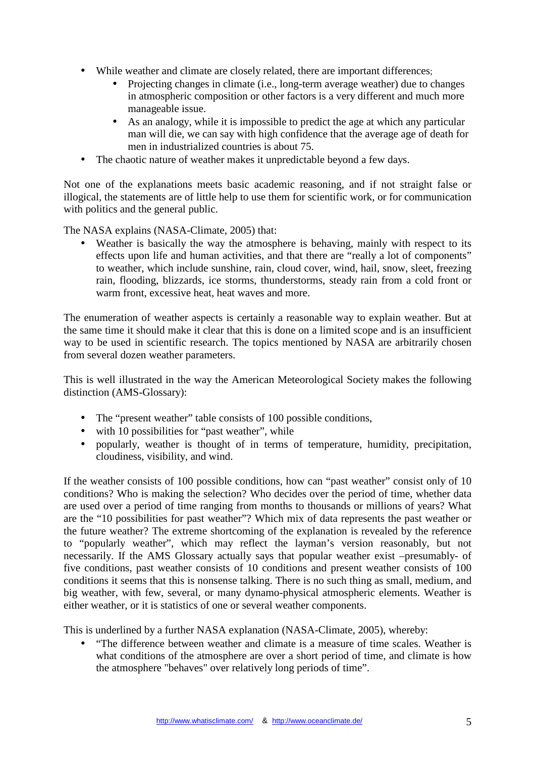- While weather and climate are closely related, there are important differences;
	- Projecting changes in climate (i.e., long-term average weather) due to changes in atmospheric composition or other factors is a very different and much more manageable issue.
	- As an analogy, while it is impossible to predict the age at which any particular man will die, we can say with high confidence that the average age of death for men in industrialized countries is about 75.
- The chaotic nature of weather makes it unpredictable beyond a few days.

Not one of the explanations meets basic academic reasoning, and if not straight false or illogical, the statements are of little help to use them for scientific work, or for communication with politics and the general public.

The NASA explains (NASA-Climate, 2005) that:

• Weather is basically the way the atmosphere is behaving, mainly with respect to its effects upon life and human activities, and that there are "really a lot of components" to weather, which include sunshine, rain, cloud cover, wind, hail, snow, sleet, freezing rain, flooding, blizzards, ice storms, thunderstorms, steady rain from a cold front or warm front, excessive heat, heat waves and more.

The enumeration of weather aspects is certainly a reasonable way to explain weather. But at the same time it should make it clear that this is done on a limited scope and is an insufficient way to be used in scientific research. The topics mentioned by NASA are arbitrarily chosen from several dozen weather parameters.

This is well illustrated in the way the American Meteorological Society makes the following distinction (AMS-Glossary):

- The "present weather" table consists of 100 possible conditions,
- with 10 possibilities for "past weather", while
- popularly, weather is thought of in terms of temperature, humidity, precipitation, cloudiness, visibility, and wind.

If the weather consists of 100 possible conditions, how can "past weather" consist only of 10 conditions? Who is making the selection? Who decides over the period of time, whether data are used over a period of time ranging from months to thousands or millions of years? What are the "10 possibilities for past weather"? Which mix of data represents the past weather or the future weather? The extreme shortcoming of the explanation is revealed by the reference to "popularly weather", which may reflect the layman's version reasonably, but not necessarily. If the AMS Glossary actually says that popular weather exist –presumably- of five conditions, past weather consists of 10 conditions and present weather consists of 100 conditions it seems that this is nonsense talking. There is no such thing as small, medium, and big weather, with few, several, or many dynamo-physical atmospheric elements. Weather is either weather, or it is statistics of one or several weather components.

This is underlined by a further NASA explanation (NASA-Climate, 2005), whereby:

• "The difference between weather and climate is a measure of time scales. Weather is what conditions of the atmosphere are over a short period of time, and climate is how the atmosphere "behaves" over relatively long periods of time".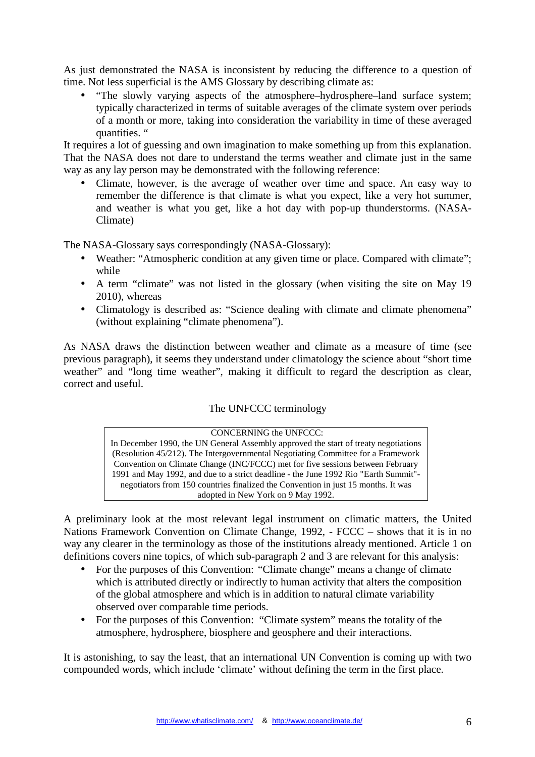As just demonstrated the NASA is inconsistent by reducing the difference to a question of time. Not less superficial is the AMS Glossary by describing climate as:

• "The slowly varying aspects of the atmosphere–hydrosphere–land surface system; typically characterized in terms of suitable averages of the climate system over periods of a month or more, taking into consideration the variability in time of these averaged quantities. "

It requires a lot of guessing and own imagination to make something up from this explanation. That the NASA does not dare to understand the terms weather and climate just in the same way as any lay person may be demonstrated with the following reference:

• Climate, however, is the average of weather over time and space. An easy way to remember the difference is that climate is what you expect, like a very hot summer, and weather is what you get, like a hot day with pop-up thunderstorms. (NASA-Climate)

The NASA-Glossary says correspondingly (NASA-Glossary):

- Weather: "Atmospheric condition at any given time or place. Compared with climate"; while
- A term "climate" was not listed in the glossary (when visiting the site on May 19 2010), whereas
- Climatology is described as: "Science dealing with climate and climate phenomena" (without explaining "climate phenomena").

As NASA draws the distinction between weather and climate as a measure of time (see previous paragraph), it seems they understand under climatology the science about "short time weather" and "long time weather", making it difficult to regard the description as clear, correct and useful.

# The UNFCCC terminology

 CONCERNING the UNFCCC: In December 1990, the UN General Assembly approved the start of treaty negotiations (Resolution 45/212). The Intergovernmental Negotiating Committee for a Framework Convention on Climate Change (INC/FCCC) met for five sessions between February 1991 and May 1992, and due to a strict deadline - the June 1992 Rio "Earth Summit" negotiators from 150 countries finalized the Convention in just 15 months. It was adopted in New York on 9 May 1992.

A preliminary look at the most relevant legal instrument on climatic matters, the United Nations Framework Convention on Climate Change, 1992, - FCCC – shows that it is in no way any clearer in the terminology as those of the institutions already mentioned. Article 1 on definitions covers nine topics, of which sub-paragraph 2 and 3 are relevant for this analysis:

- For the purposes of this Convention: "Climate change" means a change of climate which is attributed directly or indirectly to human activity that alters the composition of the global atmosphere and which is in addition to natural climate variability observed over comparable time periods.
- For the purposes of this Convention: "Climate system" means the totality of the atmosphere, hydrosphere, biosphere and geosphere and their interactions.

It is astonishing, to say the least, that an international UN Convention is coming up with two compounded words, which include 'climate' without defining the term in the first place.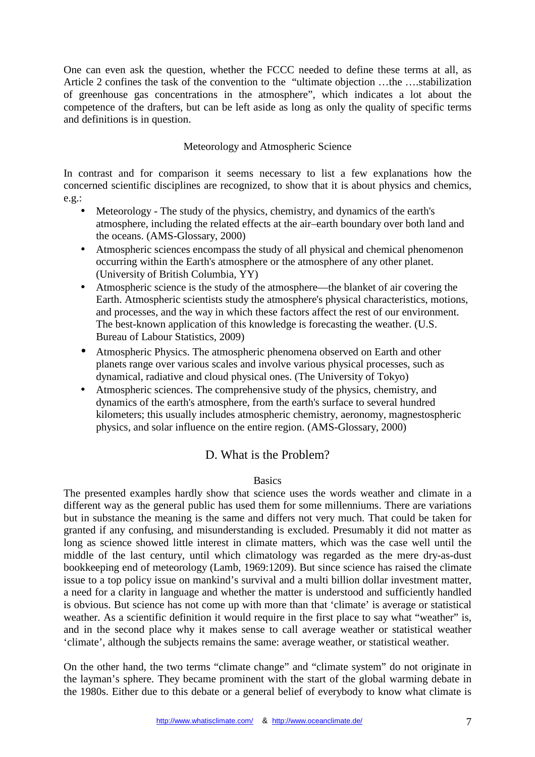One can even ask the question, whether the FCCC needed to define these terms at all, as Article 2 confines the task of the convention to the "ultimate objection …the ….stabilization of greenhouse gas concentrations in the atmosphere", which indicates a lot about the competence of the drafters, but can be left aside as long as only the quality of specific terms and definitions is in question.

## Meteorology and Atmospheric Science

In contrast and for comparison it seems necessary to list a few explanations how the concerned scientific disciplines are recognized, to show that it is about physics and chemics,  $e.g.:$ 

- Meteorology The study of the physics, chemistry, and dynamics of the earth's atmosphere, including the related effects at the air–earth boundary over both land and the oceans. (AMS-Glossary, 2000)
- Atmospheric sciences encompass the study of all physical and chemical phenomenon occurring within the Earth's atmosphere or the atmosphere of any other planet. (University of British Columbia, YY)
- Atmospheric science is the study of the atmosphere—the blanket of air covering the Earth. Atmospheric scientists study the atmosphere's physical characteristics, motions, and processes, and the way in which these factors affect the rest of our environment. The best-known application of this knowledge is forecasting the weather. (U.S. Bureau of Labour Statistics, 2009)
- Atmospheric Physics. The atmospheric phenomena observed on Earth and other planets range over various scales and involve various physical processes, such as dynamical, radiative and cloud physical ones. (The University of Tokyo)
- Atmospheric sciences. The comprehensive study of the physics, chemistry, and dynamics of the earth's atmosphere, from the earth's surface to several hundred kilometers; this usually includes atmospheric chemistry, aeronomy, magnestospheric physics, and solar influence on the entire region. (AMS-Glossary, 2000)

# D. What is the Problem?

## **Basics**

The presented examples hardly show that science uses the words weather and climate in a different way as the general public has used them for some millenniums. There are variations but in substance the meaning is the same and differs not very much. That could be taken for granted if any confusing, and misunderstanding is excluded. Presumably it did not matter as long as science showed little interest in climate matters, which was the case well until the middle of the last century, until which climatology was regarded as the mere dry-as-dust bookkeeping end of meteorology (Lamb, 1969:1209). But since science has raised the climate issue to a top policy issue on mankind's survival and a multi billion dollar investment matter, a need for a clarity in language and whether the matter is understood and sufficiently handled is obvious. But science has not come up with more than that 'climate' is average or statistical weather. As a scientific definition it would require in the first place to say what "weather" is, and in the second place why it makes sense to call average weather or statistical weather 'climate', although the subjects remains the same: average weather, or statistical weather.

On the other hand, the two terms "climate change" and "climate system" do not originate in the layman's sphere. They became prominent with the start of the global warming debate in the 1980s. Either due to this debate or a general belief of everybody to know what climate is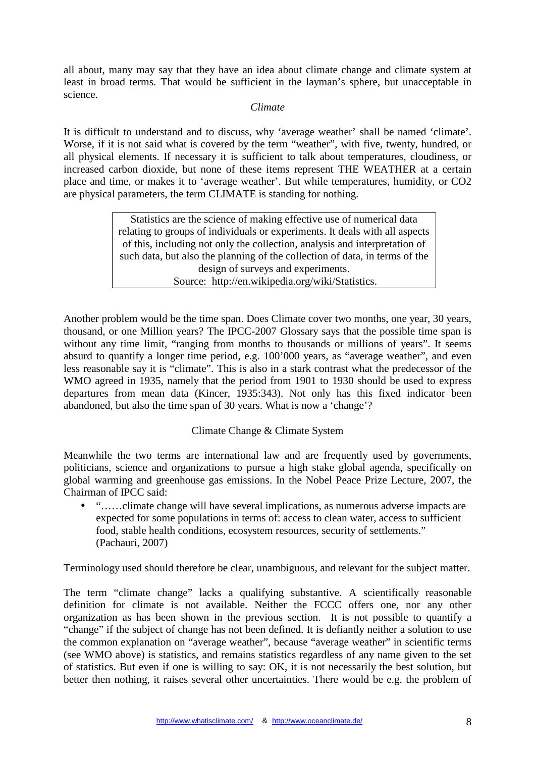all about, many may say that they have an idea about climate change and climate system at least in broad terms. That would be sufficient in the layman's sphere, but unacceptable in science.

## *Climate*

It is difficult to understand and to discuss, why 'average weather' shall be named 'climate'. Worse, if it is not said what is covered by the term "weather", with five, twenty, hundred, or all physical elements. If necessary it is sufficient to talk about temperatures, cloudiness, or increased carbon dioxide, but none of these items represent THE WEATHER at a certain place and time, or makes it to 'average weather'. But while temperatures, humidity, or CO2 are physical parameters, the term CLIMATE is standing for nothing.

> Statistics are the science of making effective use of numerical data relating to groups of individuals or experiments. It deals with all aspects of this, including not only the collection, analysis and interpretation of such data, but also the planning of the collection of data, in terms of the design of surveys and experiments. Source: http://en.wikipedia.org/wiki/Statistics.

Another problem would be the time span. Does Climate cover two months, one year, 30 years, thousand, or one Million years? The IPCC-2007 Glossary says that the possible time span is without any time limit, "ranging from months to thousands or millions of years". It seems absurd to quantify a longer time period, e.g. 100'000 years, as "average weather", and even less reasonable say it is "climate". This is also in a stark contrast what the predecessor of the WMO agreed in 1935, namely that the period from 1901 to 1930 should be used to express departures from mean data (Kincer, 1935:343). Not only has this fixed indicator been abandoned, but also the time span of 30 years. What is now a 'change'?

# Climate Change & Climate System

Meanwhile the two terms are international law and are frequently used by governments, politicians, science and organizations to pursue a high stake global agenda, specifically on global warming and greenhouse gas emissions. In the Nobel Peace Prize Lecture, 2007, the Chairman of IPCC said:

• "……climate change will have several implications, as numerous adverse impacts are expected for some populations in terms of: access to clean water, access to sufficient food, stable health conditions, ecosystem resources, security of settlements." (Pachauri, 2007)

Terminology used should therefore be clear, unambiguous, and relevant for the subject matter.

The term "climate change" lacks a qualifying substantive. A scientifically reasonable definition for climate is not available. Neither the FCCC offers one, nor any other organization as has been shown in the previous section. It is not possible to quantify a "change" if the subject of change has not been defined. It is defiantly neither a solution to use the common explanation on "average weather", because "average weather" in scientific terms (see WMO above) is statistics, and remains statistics regardless of any name given to the set of statistics. But even if one is willing to say: OK, it is not necessarily the best solution, but better then nothing, it raises several other uncertainties. There would be e.g. the problem of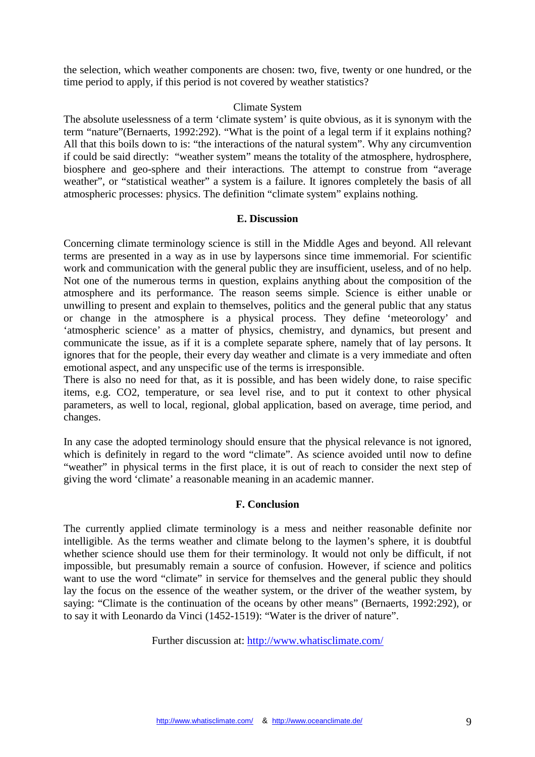the selection, which weather components are chosen: two, five, twenty or one hundred, or the time period to apply, if this period is not covered by weather statistics?

### Climate System

The absolute uselessness of a term 'climate system' is quite obvious, as it is synonym with the term "nature"(Bernaerts, 1992:292). "What is the point of a legal term if it explains nothing? All that this boils down to is: "the interactions of the natural system". Why any circumvention if could be said directly: "weather system" means the totality of the atmosphere, hydrosphere, biosphere and geo-sphere and their interactions*.* The attempt to construe from "average weather", or "statistical weather" a system is a failure. It ignores completely the basis of all atmospheric processes: physics. The definition "climate system" explains nothing.

### **E. Discussion**

Concerning climate terminology science is still in the Middle Ages and beyond. All relevant terms are presented in a way as in use by laypersons since time immemorial. For scientific work and communication with the general public they are insufficient, useless, and of no help. Not one of the numerous terms in question, explains anything about the composition of the atmosphere and its performance. The reason seems simple. Science is either unable or unwilling to present and explain to themselves, politics and the general public that any status or change in the atmosphere is a physical process. They define 'meteorology' and 'atmospheric science' as a matter of physics, chemistry, and dynamics, but present and communicate the issue, as if it is a complete separate sphere, namely that of lay persons. It ignores that for the people, their every day weather and climate is a very immediate and often emotional aspect, and any unspecific use of the terms is irresponsible.

There is also no need for that, as it is possible, and has been widely done, to raise specific items, e.g. CO2, temperature, or sea level rise, and to put it context to other physical parameters, as well to local, regional, global application, based on average, time period, and changes.

In any case the adopted terminology should ensure that the physical relevance is not ignored, which is definitely in regard to the word "climate". As science avoided until now to define "weather" in physical terms in the first place, it is out of reach to consider the next step of giving the word 'climate' a reasonable meaning in an academic manner.

## **F. Conclusion**

The currently applied climate terminology is a mess and neither reasonable definite nor intelligible. As the terms weather and climate belong to the laymen's sphere, it is doubtful whether science should use them for their terminology. It would not only be difficult, if not impossible, but presumably remain a source of confusion. However, if science and politics want to use the word "climate" in service for themselves and the general public they should lay the focus on the essence of the weather system, or the driver of the weather system, by saying: "Climate is the continuation of the oceans by other means" (Bernaerts, 1992:292), or to say it with Leonardo da Vinci (1452-1519): "Water is the driver of nature".

Further discussion at: http://www.whatisclimate.com/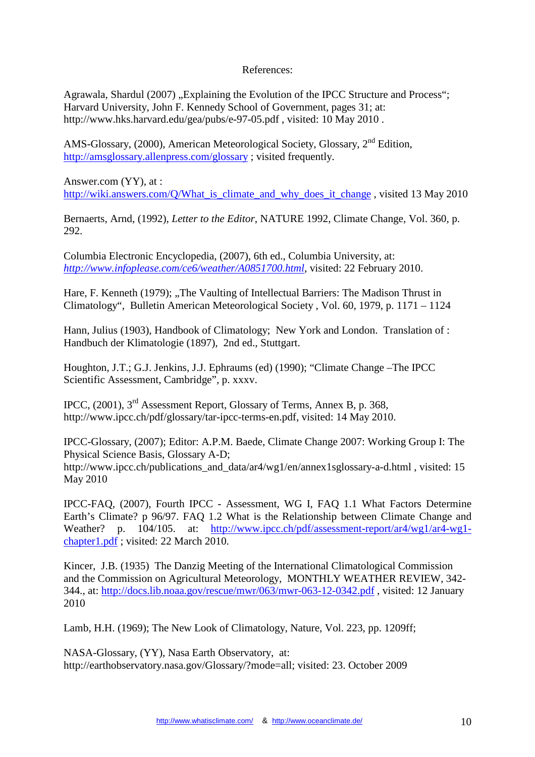References:

Agrawala, Shardul (2007) "Explaining the Evolution of the IPCC Structure and Process"; Harvard University, John F. Kennedy School of Government, pages 31; at: http://www.hks.harvard.edu/gea/pubs/e-97-05.pdf , visited: 10 May 2010 .

AMS-Glossary, (2000), American Meteorological Society, Glossary, 2<sup>nd</sup> Edition, http://amsglossary.allenpress.com/glossary ; visited frequently.

Answer.com (YY), at : http://wiki.answers.com/O/What is climate and why does it change, visited 13 May 2010

Bernaerts, Arnd, (1992), *Letter to the Editor*, NATURE 1992, Climate Change, Vol. 360, p. 292.

Columbia Electronic Encyclopedia*,* (2007), 6th ed., Columbia University, at: *http://www.infoplease.com/ce6/weather/A0851700.html*, visited: 22 February 2010.

Hare, F. Kenneth (1979); "The Vaulting of Intellectual Barriers: The Madison Thrust in Climatology", Bulletin American Meteorological Society , Vol. 60, 1979, p. 1171 – 1124

Hann, Julius (1903), Handbook of Climatology; New York and London. Translation of : Handbuch der Klimatologie (1897), 2nd ed., Stuttgart.

Houghton, J.T.; G.J. Jenkins, J.J. Ephraums (ed) (1990); "Climate Change –The IPCC Scientific Assessment, Cambridge", p. xxxv.

IPCC, (2001), 3rd Assessment Report, Glossary of Terms, Annex B, p. 368, http://www.ipcc.ch/pdf/glossary/tar-ipcc-terms-en.pdf, visited: 14 May 2010.

IPCC-Glossary, (2007); Editor: A.P.M. Baede, Climate Change 2007: Working Group I: The Physical Science Basis, Glossary A-D; http://www.ipcc.ch/publications\_and\_data/ar4/wg1/en/annex1sglossary-a-d.html , visited: 15 May 2010

IPCC-FAQ, (2007), Fourth IPCC - Assessment, WG I, FAQ 1.1 What Factors Determine Earth's Climate? p 96/97. FAQ 1.2 What is the Relationship between Climate Change and Weather? p. 104/105. at: http://www.ipcc.ch/pdf/assessment-report/ar4/wg1/ar4-wg1chapter1.pdf ; visited: 22 March 2010.

Kincer, J.B. (1935) The Danzig Meeting of the International Climatological Commission and the Commission on Agricultural Meteorology, MONTHLY WEATHER REVIEW, 342- 344., at: http://docs.lib.noaa.gov/rescue/mwr/063/mwr-063-12-0342.pdf , visited: 12 January 2010

Lamb, H.H. (1969); The New Look of Climatology, Nature, Vol. 223, pp. 1209ff;

NASA-Glossary, (YY), Nasa Earth Observatory, at: http://earthobservatory.nasa.gov/Glossary/?mode=all; visited: 23. October 2009